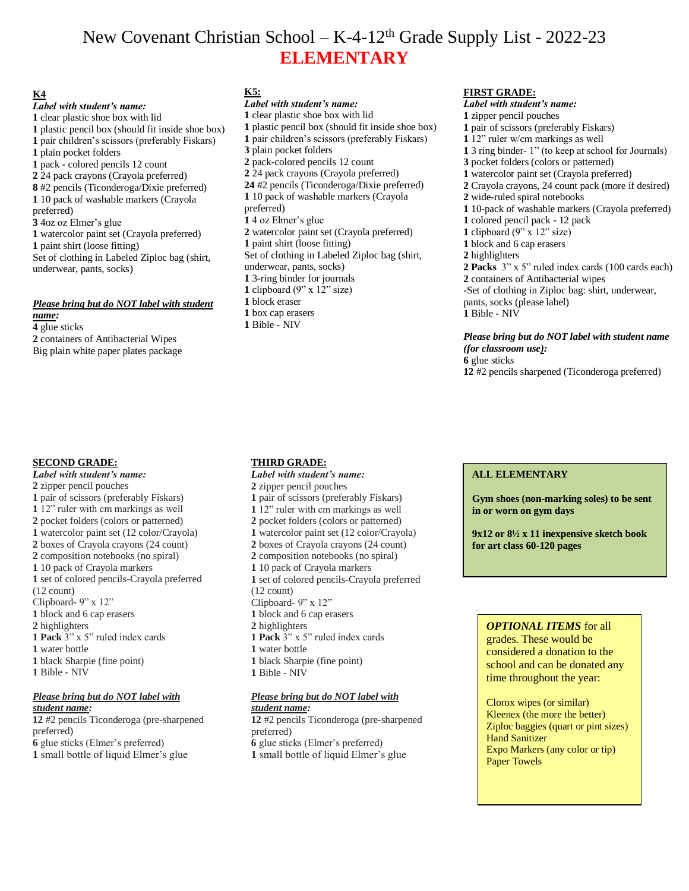# New Covenant Christian School –  $K-4-12<sup>th</sup>$  Grade Supply List - 2022-23 **ELEMENTARY**

# **K4**

*Label with student's name:* clear plastic shoe box with lid plastic pencil box (should fit inside shoe box) pair children's scissors (preferably Fiskars) plain pocket folders pack - colored pencils 12 count 24 pack crayons (Crayola preferred) #2 pencils (Ticonderoga/Dixie preferred) 10 pack of washable markers (Crayola preferred) 4oz oz Elmer's glue watercolor paint set (Crayola preferred) paint shirt (loose fitting) Set of clothing in Labeled Ziploc bag (shirt, underwear, pants, socks)

## *Please bring but do NOT label with student name:*

**4** glue sticks **2** containers of Antibacterial Wipes Big plain white paper plates package

# **SECOND GRADE:**

*Label with student's name:* zipper pencil pouches pair of scissors (preferably Fiskars) 12" ruler with cm markings as well pocket folders (colors or patterned) watercolor paint set (12 color/Crayola) boxes of Crayola crayons (24 count) composition notebooks (no spiral) 10 pack of Crayola markers set of colored pencils-Crayola preferred (12 count) Clipboard- 9" x 12" block and 6 cap erasers highlighters **1 Pack** 3" x 5" ruled index cards water bottle black Sharpie (fine point) Bible - NIV *Please bring but do NOT label with student name:*

 #2 pencils Ticonderoga (pre-sharpened preferred) glue sticks (Elmer's preferred) small bottle of liquid Elmer's glue

# **K5:**

*Label with student's name:* clear plastic shoe box with lid plastic pencil box (should fit inside shoe box) pair children's scissors (preferably Fiskars) plain pocket folders pack-colored pencils 12 count 24 pack crayons (Crayola preferred) #2 pencils (Ticonderoga/Dixie preferred) 10 pack of washable markers (Crayola preferred) 4 oz Elmer's glue watercolor paint set (Crayola preferred) paint shirt (loose fitting) Set of clothing in Labeled Ziploc bag (shirt, underwear, pants, socks) 3-ring binder for journals clipboard (9" x 12" size) block eraser box cap erasers Bible - NIV

# **THIRD GRADE:**

*Label with student's name:* zipper pencil pouches pair of scissors (preferably Fiskars) 12" ruler with cm markings as well pocket folders (colors or patterned) watercolor paint set (12 color/Crayola) boxes of Crayola crayons (24 count) composition notebooks (no spiral) 10 pack of Crayola markers set of colored pencils-Crayola preferred (12 count) Clipboard- 9" x 12" block and 6 cap erasers highlighters **1 Pack** 3" x 5" ruled index cards water bottle black Sharpie (fine point) Bible - NIV

#### *Please bring but do NOT label with student name:*

 #2 pencils Ticonderoga (pre-sharpened preferred) glue sticks (Elmer's preferred) small bottle of liquid Elmer's glue

# **FIRST GRADE:**

*Label with student's name:* zipper pencil pouches pair of scissors (preferably Fiskars) 12" ruler w/cm markings as well 3 ring binder- 1" (to keep at school for Journals) pocket folders (colors or patterned) watercolor paint set (Crayola preferred) Crayola crayons, 24 count pack (more if desired) wide-ruled spiral notebooks 10-pack of washable markers (Crayola preferred) colored pencil pack - 12 pack clipboard (9" x 12" size) block and 6 cap erasers highlighters **2 Packs** 3" x 5" ruled index cards (100 cards each) containers of Antibacterial wipes -Set of clothing in Ziploc bag: shirt, underwear, pants, socks (please label) Bible - NIV

*Please bring but do NOT label with student name (for classroom use):* **6** glue sticks **12** #2 pencils sharpened (Ticonderoga preferred)

# **ALL ELEMENTARY**

**Gym shoes (non-marking soles) to be sent in or worn on gym days**

**9x12 or 8½ x 11 inexpensive sketch book for art class 60-120 pages**

# *OPTIONAL ITEMS* for all

grades. These would be considered a donation to the school and can be donated any time throughout the year:

Clorox wipes (or similar) Kleenex (the more the better) Ziploc baggies (quart or pint sizes) Hand Sanitizer Expo Markers (any color or tip) Paper Towels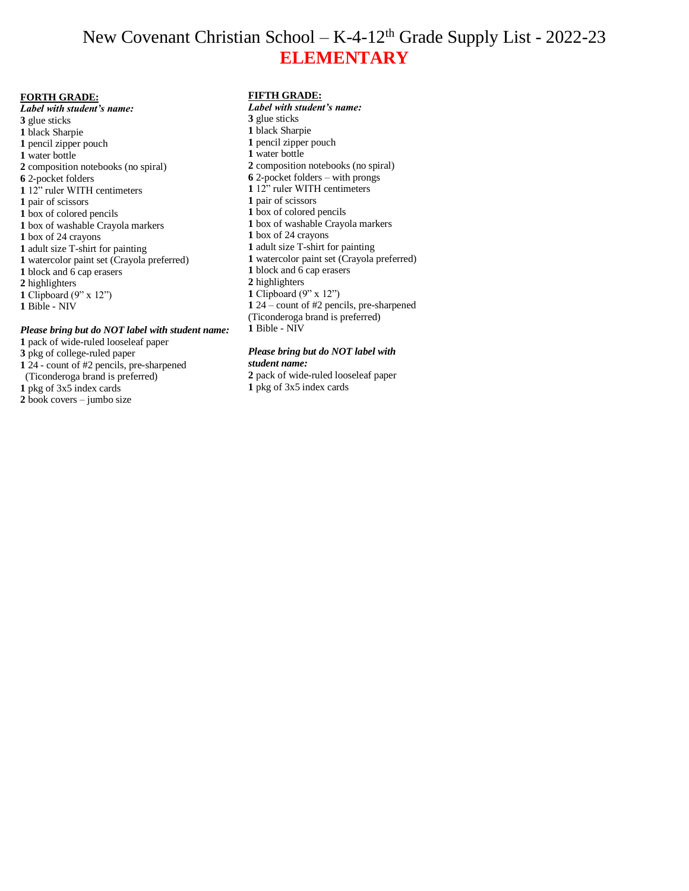# New Covenant Christian School – K-4-12th Grade Supply List - 2022-23 **ELEMENTARY**

#### **FORTH GRADE:**

*Label with student's name:* glue sticks black Sharpie pencil zipper pouch water bottle composition notebooks (no spiral) 2-pocket folders 12" ruler WITH centimeters pair of scissors box of colored pencils box of washable Crayola markers box of 24 crayons adult size T-shirt for painting watercolor paint set (Crayola preferred) block and 6 cap erasers highlighters Clipboard (9" x 12") Bible - NIV

#### *Please bring but do NOT label with student name:*

- pack of wide-ruled looseleaf paper
- pkg of college-ruled paper
- 24 count of #2 pencils, pre-sharpened
- (Ticonderoga brand is preferred)
- pkg of 3x5 index cards
- book covers jumbo size

#### **FIFTH GRADE:**

*Label with student's name:* glue sticks black Sharpie pencil zipper pouch water bottle composition notebooks (no spiral) 2-pocket folders – with prongs 12" ruler WITH centimeters pair of scissors box of colored pencils box of washable Crayola markers box of 24 crayons adult size T-shirt for painting watercolor paint set (Crayola preferred) block and 6 cap erasers highlighters Clipboard (9" x 12") 24 – count of #2 pencils, pre-sharpened (Ticonderoga brand is preferred) Bible - NIV

#### *Please bring but do NOT label with student name:*

- pack of wide-ruled looseleaf paper
- pkg of 3x5 index cards